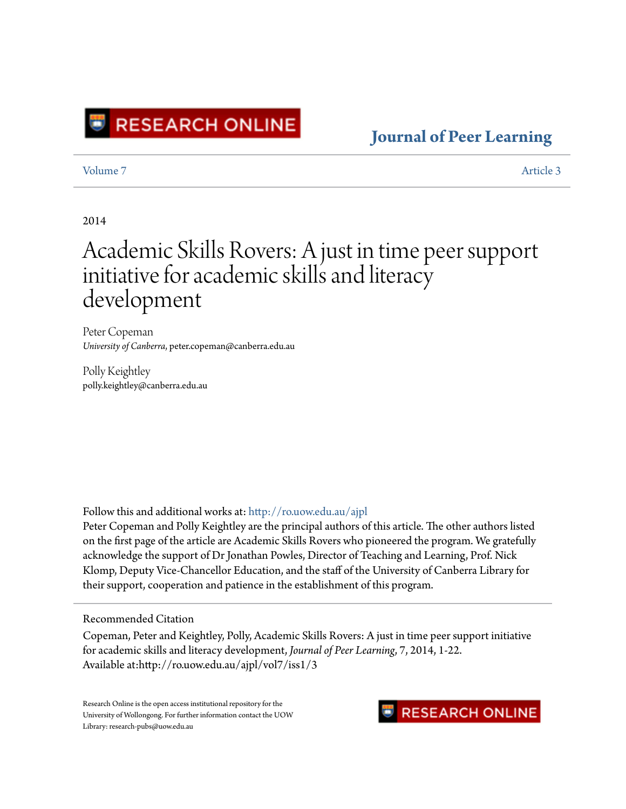

### **[Journal of Peer Learning](http://ro.uow.edu.au/ajpl?utm_source=ro.uow.edu.au%2Fajpl%2Fvol7%2Fiss1%2F3&utm_medium=PDF&utm_campaign=PDFCoverPages)**

[Volume 7](http://ro.uow.edu.au/ajpl/vol7?utm_source=ro.uow.edu.au%2Fajpl%2Fvol7%2Fiss1%2F3&utm_medium=PDF&utm_campaign=PDFCoverPages) [Article 3](http://ro.uow.edu.au/ajpl/vol7/iss1/3?utm_source=ro.uow.edu.au%2Fajpl%2Fvol7%2Fiss1%2F3&utm_medium=PDF&utm_campaign=PDFCoverPages)

#### 2014

# Academic Skills Rovers: A just in time peer support initiative for academic skills and literacy development

Peter Copeman *University of Canberra*, peter.copeman@canberra.edu.au

Polly Keightley polly.keightley@canberra.edu.au

Follow this and additional works at: [http://ro.uow.edu.au/ajpl](http://ro.uow.edu.au/ajpl?utm_source=ro.uow.edu.au%2Fajpl%2Fvol7%2Fiss1%2F3&utm_medium=PDF&utm_campaign=PDFCoverPages)

Peter Copeman and Polly Keightley are the principal authors of this article. The other authors listed on the first page of the article are Academic Skills Rovers who pioneered the program. We gratefully acknowledge the support of Dr Jonathan Powles, Director of Teaching and Learning, Prof. Nick Klomp, Deputy Vice-Chancellor Education, and the staff of the University of Canberra Library for their support, cooperation and patience in the establishment of this program.

#### Recommended Citation

Copeman, Peter and Keightley, Polly, Academic Skills Rovers: A just in time peer support initiative for academic skills and literacy development, *Journal of Peer Learning*, 7, 2014, 1-22. Available at:http://ro.uow.edu.au/ajpl/vol7/iss1/3

Research Online is the open access institutional repository for the University of Wollongong. For further information contact the UOW Library: research-pubs@uow.edu.au

### **RESEARCH ONLINE**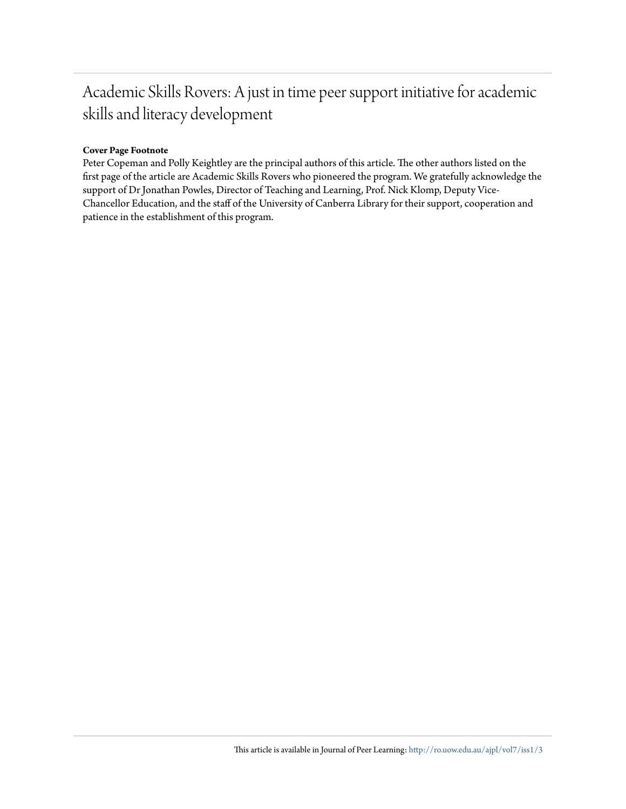## Academic Skills Rovers: A just in time peer support initiative for academic skills and literacy development

#### **Cover Page Footnote**

Peter Copeman and Polly Keightley are the principal authors of this article. The other authors listed on the first page of the article are Academic Skills Rovers who pioneered the program. We gratefully acknowledge the support of Dr Jonathan Powles, Director of Teaching and Learning, Prof. Nick Klomp, Deputy Vice-Chancellor Education, and the staff of the University of Canberra Library for their support, cooperation and patience in the establishment of this program.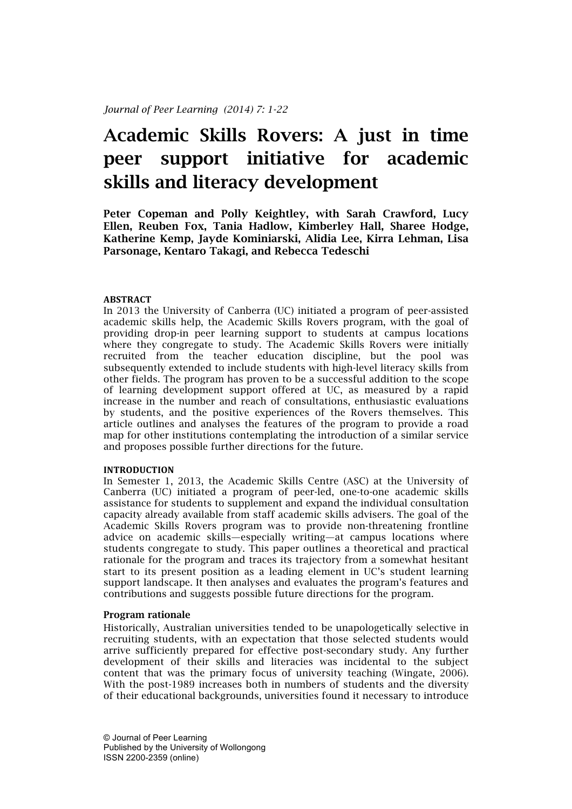# Academic Skills Rovers: A just in time peer support initiative for academic skills and literacy development

Peter Copeman and Polly Keightley, with Sarah Crawford, Lucy Ellen, Reuben Fox, Tania Hadlow, Kimberley Hall, Sharee Hodge, Katherine Kemp, Jayde Kominiarski, Alidia Lee, Kirra Lehman, Lisa Parsonage, Kentaro Takagi, and Rebecca Tedeschi

#### **ABSTRACT**

In 2013 the University of Canberra (UC) initiated a program of peer-assisted academic skills help, the Academic Skills Rovers program, with the goal of providing drop-in peer learning support to students at campus locations where they congregate to study. The Academic Skills Rovers were initially recruited from the teacher education discipline, but the pool was subsequently extended to include students with high-level literacy skills from other fields. The program has proven to be a successful addition to the scope of learning development support offered at UC, as measured by a rapid increase in the number and reach of consultations, enthusiastic evaluations by students, and the positive experiences of the Rovers themselves. This article outlines and analyses the features of the program to provide a road map for other institutions contemplating the introduction of a similar service and proposes possible further directions for the future.

#### **INTRODUCTION**

In Semester 1, 2013, the Academic Skills Centre (ASC) at the University of Canberra (UC) initiated a program of peer-led, one-to-one academic skills assistance for students to supplement and expand the individual consultation capacity already available from staff academic skills advisers. The goal of the Academic Skills Rovers program was to provide non-threatening frontline advice on academic skills—especially writing—at campus locations where students congregate to study. This paper outlines a theoretical and practical rationale for the program and traces its trajectory from a somewhat hesitant start to its present position as a leading element in UC's student learning support landscape. It then analyses and evaluates the program's features and contributions and suggests possible future directions for the program.

#### Program rationale

Historically, Australian universities tended to be unapologetically selective in recruiting students, with an expectation that those selected students would arrive sufficiently prepared for effective post-secondary study. Any further development of their skills and literacies was incidental to the subject content that was the primary focus of university teaching (Wingate, 2006). With the post-1989 increases both in numbers of students and the diversity of their educational backgrounds, universities found it necessary to introduce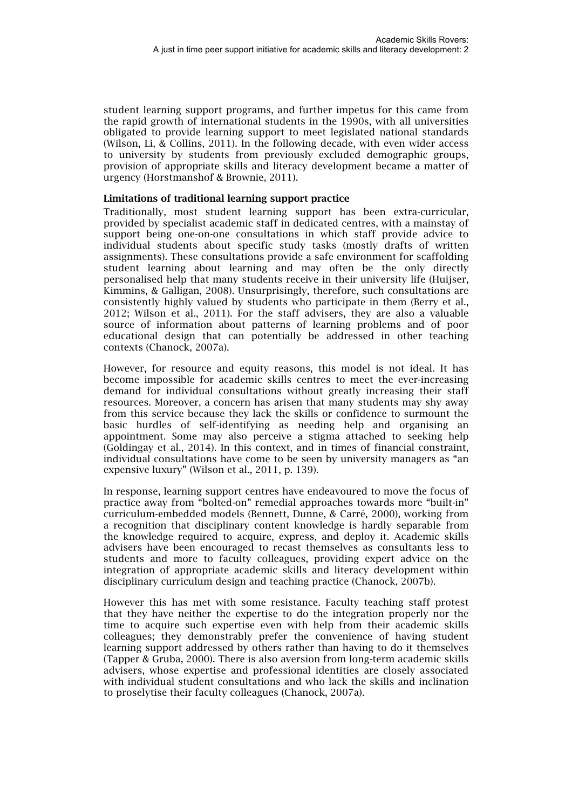student learning support programs, and further impetus for this came from the rapid growth of international students in the 1990s, with all universities obligated to provide learning support to meet legislated national standards (Wilson, Li, & Collins, 2011). In the following decade, with even wider access to university by students from previously excluded demographic groups, provision of appropriate skills and literacy development became a matter of urgency (Horstmanshof & Brownie, 2011).

#### Limitations of traditional learning support practice

Traditionally, most student learning support has been extra-curricular, provided by specialist academic staff in dedicated centres, with a mainstay of support being one-on-one consultations in which staff provide advice to individual students about specific study tasks (mostly drafts of written assignments). These consultations provide a safe environment for scaffolding student learning about learning and may often be the only directly personalised help that many students receive in their university life (Huijser, Kimmins, & Galligan, 2008). Unsurprisingly, therefore, such consultations are consistently highly valued by students who participate in them (Berry et al., 2012; Wilson et al., 2011). For the staff advisers, they are also a valuable source of information about patterns of learning problems and of poor educational design that can potentially be addressed in other teaching contexts (Chanock, 2007a).

However, for resource and equity reasons, this model is not ideal. It has become impossible for academic skills centres to meet the ever-increasing demand for individual consultations without greatly increasing their staff resources. Moreover, a concern has arisen that many students may shy away from this service because they lack the skills or confidence to surmount the basic hurdles of self-identifying as needing help and organising an appointment. Some may also perceive a stigma attached to seeking help (Goldingay et al., 2014). In this context, and in times of financial constraint, individual consultations have come to be seen by university managers as "an expensive luxury" (Wilson et al., 2011, p. 139).

In response, learning support centres have endeavoured to move the focus of practice away from "bolted-on" remedial approaches towards more "built-in" curriculum-embedded models (Bennett, Dunne, & Carré, 2000), working from a recognition that disciplinary content knowledge is hardly separable from the knowledge required to acquire, express, and deploy it. Academic skills advisers have been encouraged to recast themselves as consultants less to students and more to faculty colleagues, providing expert advice on the integration of appropriate academic skills and literacy development within disciplinary curriculum design and teaching practice (Chanock, 2007b).

However this has met with some resistance. Faculty teaching staff protest that they have neither the expertise to do the integration properly nor the time to acquire such expertise even with help from their academic skills colleagues; they demonstrably prefer the convenience of having student learning support addressed by others rather than having to do it themselves (Tapper & Gruba, 2000). There is also aversion from long-term academic skills advisers, whose expertise and professional identities are closely associated with individual student consultations and who lack the skills and inclination to proselytise their faculty colleagues (Chanock, 2007a).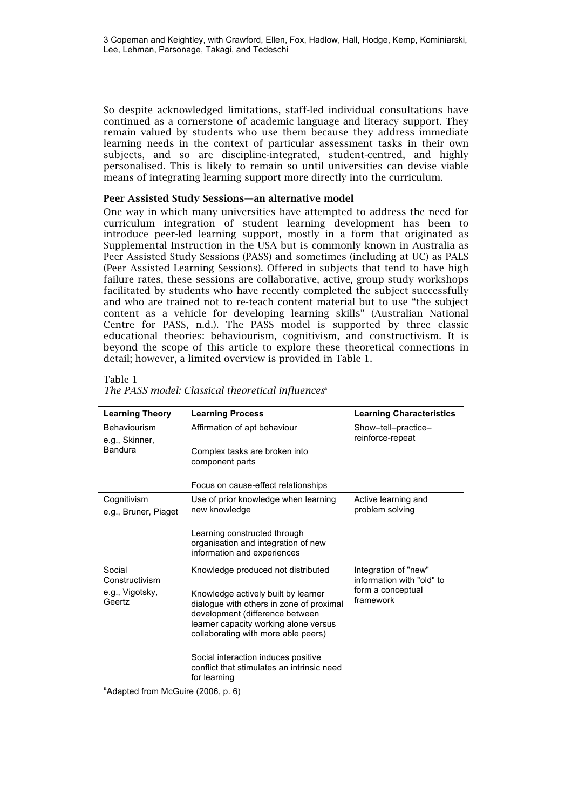So despite acknowledged limitations, staff-led individual consultations have continued as a cornerstone of academic language and literacy support. They remain valued by students who use them because they address immediate learning needs in the context of particular assessment tasks in their own subjects, and so are discipline-integrated, student-centred, and highly personalised. This is likely to remain so until universities can devise viable means of integrating learning support more directly into the curriculum.

#### Peer Assisted Study Sessions—an alternative model

One way in which many universities have attempted to address the need for curriculum integration of student learning development has been to introduce peer-led learning support, mostly in a form that originated as Supplemental Instruction in the USA but is commonly known in Australia as Peer Assisted Study Sessions (PASS) and sometimes (including at UC) as PALS (Peer Assisted Learning Sessions). Offered in subjects that tend to have high failure rates, these sessions are collaborative, active, group study workshops facilitated by students who have recently completed the subject successfully and who are trained not to re-teach content material but to use "the subject content as a vehicle for developing learning skills" (Australian National Centre for PASS, n.d.). The PASS model is supported by three classic educational theories: behaviourism, cognitivism, and constructivism. It is beyond the scope of this article to explore these theoretical connections in detail; however, a limited overview is provided in Table 1.

#### Table 1

| <b>Learning Theory</b>                | <b>Learning Process</b>                                                                                                                                                                            | <b>Learning Characteristics</b>                                                     |  |
|---------------------------------------|----------------------------------------------------------------------------------------------------------------------------------------------------------------------------------------------------|-------------------------------------------------------------------------------------|--|
| <b>Behaviourism</b><br>e.g., Skinner, | Affirmation of apt behaviour                                                                                                                                                                       | Show-tell-practice-<br>reinforce-repeat                                             |  |
| <b>Bandura</b>                        | Complex tasks are broken into<br>component parts                                                                                                                                                   |                                                                                     |  |
|                                       | Focus on cause-effect relationships                                                                                                                                                                |                                                                                     |  |
| Cognitivism<br>e.g., Bruner, Piaget   | Use of prior knowledge when learning<br>new knowledge                                                                                                                                              | Active learning and<br>problem solving                                              |  |
|                                       | Learning constructed through<br>organisation and integration of new<br>information and experiences                                                                                                 |                                                                                     |  |
| Social<br>Constructivism              | Knowledge produced not distributed                                                                                                                                                                 | Integration of "new"<br>information with "old" to<br>form a conceptual<br>framework |  |
| e.g., Vigotsky,<br>Geertz             | Knowledge actively built by learner<br>dialogue with others in zone of proximal<br>development (difference between<br>learner capacity working alone versus<br>collaborating with more able peers) |                                                                                     |  |
|                                       | Social interaction induces positive<br>conflict that stimulates an intrinsic need<br>for learning                                                                                                  |                                                                                     |  |

#### *The PASS model: Classical theoretical influences*<sup>a</sup>

<sup>a</sup>Adapted from McGuire (2006, p. 6)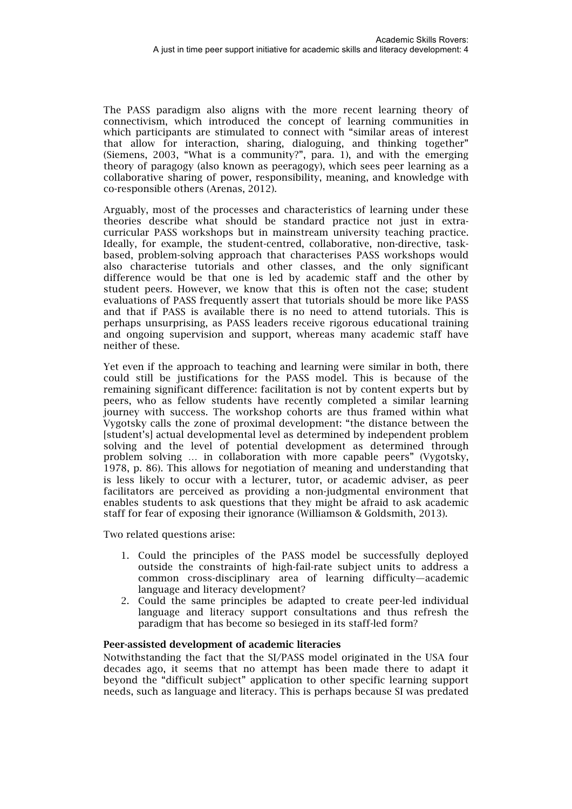The PASS paradigm also aligns with the more recent learning theory of connectivism, which introduced the concept of learning communities in which participants are stimulated to connect with "similar areas of interest that allow for interaction, sharing, dialoguing, and thinking together" (Siemens, 2003, "What is a community?", para. 1), and with the emerging theory of paragogy (also known as peeragogy), which sees peer learning as a collaborative sharing of power, responsibility, meaning, and knowledge with co-responsible others (Arenas, 2012).

Arguably, most of the processes and characteristics of learning under these theories describe what should be standard practice not just in extracurricular PASS workshops but in mainstream university teaching practice. Ideally, for example, the student-centred, collaborative, non-directive, taskbased, problem-solving approach that characterises PASS workshops would also characterise tutorials and other classes, and the only significant difference would be that one is led by academic staff and the other by student peers. However, we know that this is often not the case; student evaluations of PASS frequently assert that tutorials should be more like PASS and that if PASS is available there is no need to attend tutorials. This is perhaps unsurprising, as PASS leaders receive rigorous educational training and ongoing supervision and support, whereas many academic staff have neither of these.

Yet even if the approach to teaching and learning were similar in both, there could still be justifications for the PASS model. This is because of the remaining significant difference: facilitation is not by content experts but by peers, who as fellow students have recently completed a similar learning journey with success. The workshop cohorts are thus framed within what Vygotsky calls the zone of proximal development: "the distance between the [student's] actual developmental level as determined by independent problem solving and the level of potential development as determined through problem solving … in collaboration with more capable peers" (Vygotsky, 1978, p. 86). This allows for negotiation of meaning and understanding that is less likely to occur with a lecturer, tutor, or academic adviser, as peer facilitators are perceived as providing a non-judgmental environment that enables students to ask questions that they might be afraid to ask academic staff for fear of exposing their ignorance (Williamson & Goldsmith, 2013).

Two related questions arise:

- 1. Could the principles of the PASS model be successfully deployed outside the constraints of high-fail-rate subject units to address a common cross-disciplinary area of learning difficulty—academic language and literacy development?
- 2. Could the same principles be adapted to create peer-led individual language and literacy support consultations and thus refresh the paradigm that has become so besieged in its staff-led form?

#### Peer-assisted development of academic literacies

Notwithstanding the fact that the SI/PASS model originated in the USA four decades ago, it seems that no attempt has been made there to adapt it beyond the "difficult subject" application to other specific learning support needs, such as language and literacy. This is perhaps because SI was predated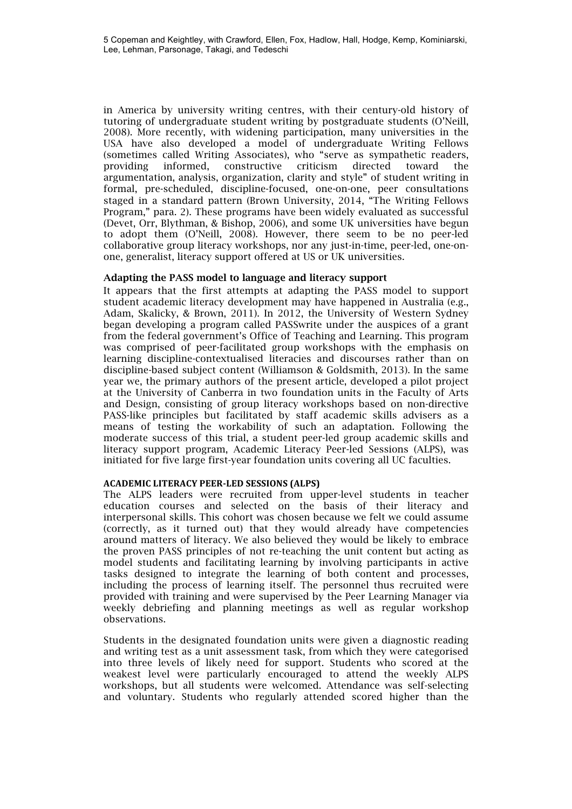in America by university writing centres, with their century-old history of tutoring of undergraduate student writing by postgraduate students (O'Neill, 2008). More recently, with widening participation, many universities in the USA have also developed a model of undergraduate Writing Fellows (sometimes called Writing Associates), who "serve as sympathetic readers, providing informed, constructive criticism directed toward the argumentation, analysis, organization, clarity and style" of student writing in formal, pre-scheduled, discipline-focused, one-on-one, peer consultations staged in a standard pattern (Brown University, 2014, "The Writing Fellows Program," para. 2). These programs have been widely evaluated as successful (Devet, Orr, Blythman, & Bishop, 2006), and some UK universities have begun to adopt them (O'Neill, 2008). However, there seem to be no peer-led collaborative group literacy workshops, nor any just-in-time, peer-led, one-onone, generalist, literacy support offered at US or UK universities.

#### Adapting the PASS model to language and literacy support

It appears that the first attempts at adapting the PASS model to support student academic literacy development may have happened in Australia (e.g., Adam, Skalicky, & Brown, 2011). In 2012, the University of Western Sydney began developing a program called PASSwrite under the auspices of a grant from the federal government's Office of Teaching and Learning. This program was comprised of peer-facilitated group workshops with the emphasis on learning discipline-contextualised literacies and discourses rather than on discipline-based subject content (Williamson & Goldsmith, 2013). In the same year we, the primary authors of the present article, developed a pilot project at the University of Canberra in two foundation units in the Faculty of Arts and Design, consisting of group literacy workshops based on non-directive PASS-like principles but facilitated by staff academic skills advisers as a means of testing the workability of such an adaptation. Following the moderate success of this trial, a student peer-led group academic skills and literacy support program, Academic Literacy Peer-led Sessions (ALPS), was initiated for five large first-year foundation units covering all UC faculties.

#### **ACADEMIC LITERACY PEER-LED SESSIONS (ALPS)**

The ALPS leaders were recruited from upper-level students in teacher education courses and selected on the basis of their literacy and interpersonal skills. This cohort was chosen because we felt we could assume (correctly, as it turned out) that they would already have competencies around matters of literacy. We also believed they would be likely to embrace the proven PASS principles of not re-teaching the unit content but acting as model students and facilitating learning by involving participants in active tasks designed to integrate the learning of both content and processes, including the process of learning itself. The personnel thus recruited were provided with training and were supervised by the Peer Learning Manager via weekly debriefing and planning meetings as well as regular workshop observations.

Students in the designated foundation units were given a diagnostic reading and writing test as a unit assessment task, from which they were categorised into three levels of likely need for support. Students who scored at the weakest level were particularly encouraged to attend the weekly ALPS workshops, but all students were welcomed. Attendance was self-selecting and voluntary. Students who regularly attended scored higher than the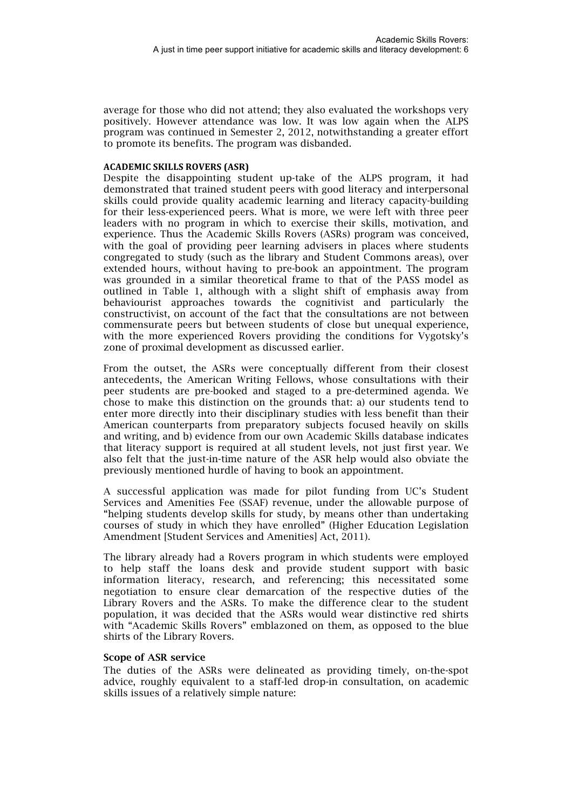average for those who did not attend; they also evaluated the workshops very positively. However attendance was low. It was low again when the ALPS program was continued in Semester 2, 2012, notwithstanding a greater effort to promote its benefits. The program was disbanded.

#### **ACADEMIC SKILLS ROVERS (ASR)**

Despite the disappointing student up-take of the ALPS program, it had demonstrated that trained student peers with good literacy and interpersonal skills could provide quality academic learning and literacy capacity-building for their less-experienced peers. What is more, we were left with three peer leaders with no program in which to exercise their skills, motivation, and experience. Thus the Academic Skills Rovers (ASRs) program was conceived, with the goal of providing peer learning advisers in places where students congregated to study (such as the library and Student Commons areas), over extended hours, without having to pre-book an appointment. The program was grounded in a similar theoretical frame to that of the PASS model as outlined in Table 1, although with a slight shift of emphasis away from behaviourist approaches towards the cognitivist and particularly the constructivist, on account of the fact that the consultations are not between commensurate peers but between students of close but unequal experience, with the more experienced Rovers providing the conditions for Vygotsky's zone of proximal development as discussed earlier.

From the outset, the ASRs were conceptually different from their closest antecedents, the American Writing Fellows, whose consultations with their peer students are pre-booked and staged to a pre-determined agenda. We chose to make this distinction on the grounds that: a) our students tend to enter more directly into their disciplinary studies with less benefit than their American counterparts from preparatory subjects focused heavily on skills and writing, and b) evidence from our own Academic Skills database indicates that literacy support is required at all student levels, not just first year. We also felt that the just-in-time nature of the ASR help would also obviate the previously mentioned hurdle of having to book an appointment.

A successful application was made for pilot funding from UC's Student Services and Amenities Fee (SSAF) revenue, under the allowable purpose of "helping students develop skills for study, by means other than undertaking courses of study in which they have enrolled" (Higher Education Legislation Amendment [Student Services and Amenities] Act, 2011).

The library already had a Rovers program in which students were employed to help staff the loans desk and provide student support with basic information literacy, research, and referencing; this necessitated some negotiation to ensure clear demarcation of the respective duties of the Library Rovers and the ASRs. To make the difference clear to the student population, it was decided that the ASRs would wear distinctive red shirts with "Academic Skills Rovers" emblazoned on them, as opposed to the blue shirts of the Library Rovers.

#### Scope of ASR service

The duties of the ASRs were delineated as providing timely, on-the-spot advice, roughly equivalent to a staff-led drop-in consultation, on academic skills issues of a relatively simple nature: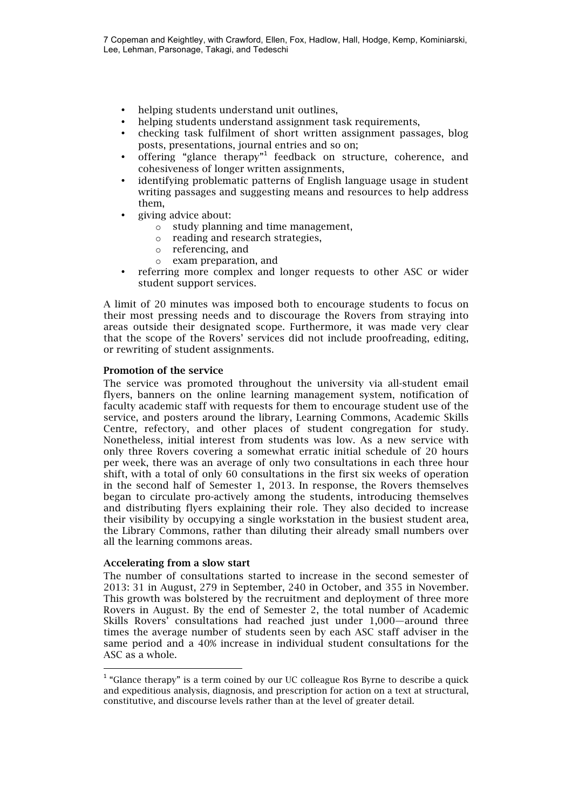- helping students understand unit outlines,
- helping students understand assignment task requirements,
- checking task fulfilment of short written assignment passages, blog posts, presentations, journal entries and so on;
- offering "glance therapy"<sup>1</sup> feedback on structure, coherence, and cohesiveness of longer written assignments,
- identifying problematic patterns of English language usage in student writing passages and suggesting means and resources to help address them,
	- giving advice about:
		- o study planning and time management,
		- o reading and research strategies,
		- o referencing, and
		- o exam preparation, and
- referring more complex and longer requests to other ASC or wider student support services.

A limit of 20 minutes was imposed both to encourage students to focus on their most pressing needs and to discourage the Rovers from straying into areas outside their designated scope. Furthermore, it was made very clear that the scope of the Rovers' services did not include proofreading, editing, or rewriting of student assignments.

#### Promotion of the service

The service was promoted throughout the university via all-student email flyers, banners on the online learning management system, notification of faculty academic staff with requests for them to encourage student use of the service, and posters around the library, Learning Commons, Academic Skills Centre, refectory, and other places of student congregation for study. Nonetheless, initial interest from students was low. As a new service with only three Rovers covering a somewhat erratic initial schedule of 20 hours per week, there was an average of only two consultations in each three hour shift, with a total of only 60 consultations in the first six weeks of operation in the second half of Semester 1, 2013. In response, the Rovers themselves began to circulate pro-actively among the students, introducing themselves and distributing flyers explaining their role. They also decided to increase their visibility by occupying a single workstation in the busiest student area, the Library Commons, rather than diluting their already small numbers over all the learning commons areas.

#### Accelerating from a slow start

 

The number of consultations started to increase in the second semester of 2013: 31 in August, 279 in September, 240 in October, and 355 in November. This growth was bolstered by the recruitment and deployment of three more Rovers in August. By the end of Semester 2, the total number of Academic Skills Rovers' consultations had reached just under 1,000—around three times the average number of students seen by each ASC staff adviser in the same period and a 40% increase in individual student consultations for the ASC as a whole.

 $^{1}$  "Glance therapy" is a term coined by our UC colleague Ros Byrne to describe a quick and expeditious analysis, diagnosis, and prescription for action on a text at structural, constitutive, and discourse levels rather than at the level of greater detail.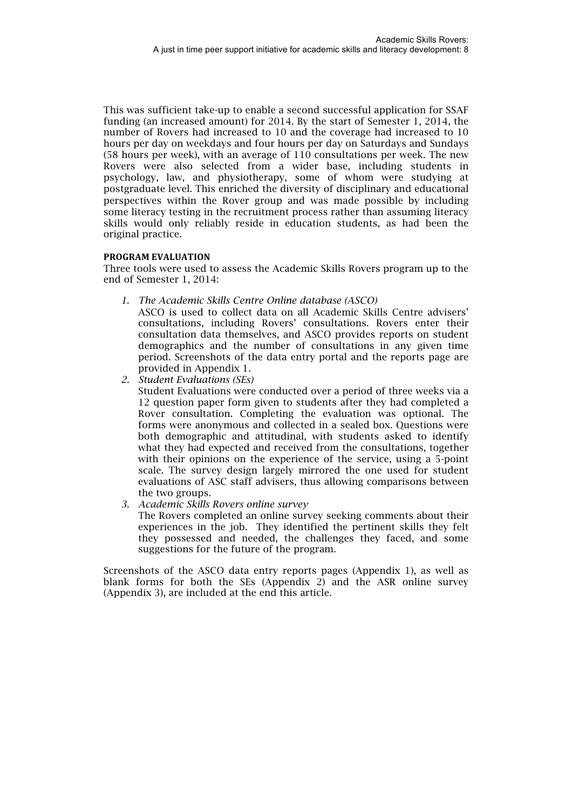This was sufficient take-up to enable a second successful application for SSAF funding (an increased amount) for 2014. By the start of Semester 1, 2014, the number of Rovers had increased to 10 and the coverage had increased to 10 hours per day on weekdays and four hours per day on Saturdays and Sundays (58 hours per week), with an average of 110 consultations per week. The new Rovers were also selected from a wider base, including students in psychology, law, and physiotherapy, some of whom were studying at postgraduate level. This enriched the diversity of disciplinary and educational perspectives within the Rover group and was made possible by including some literacy testing in the recruitment process rather than assuming literacy skills would only reliably reside in education students, as had been the original practice.

#### **PROGRAM EVALUATION**

Three tools were used to assess the Academic Skills Rovers program up to the end of Semester 1, 2014:

*1. The Academic Skills Centre Online database (ASCO)*

ASCO is used to collect data on all Academic Skills Centre advisers' consultations, including Rovers' consultations. Rovers enter their consultation data themselves, and ASCO provides reports on student demographics and the number of consultations in any given time period. Screenshots of the data entry portal and the reports page are provided in Appendix 1.

*2. Student Evaluations (SEs)*

Student Evaluations were conducted over a period of three weeks via a 12 question paper form given to students after they had completed a Rover consultation. Completing the evaluation was optional. The forms were anonymous and collected in a sealed box. Questions were both demographic and attitudinal, with students asked to identify what they had expected and received from the consultations, together with their opinions on the experience of the service, using a 5-point scale. The survey design largely mirrored the one used for student evaluations of ASC staff advisers, thus allowing comparisons between the two groups.

*3. Academic Skills Rovers online survey* 

The Rovers completed an online survey seeking comments about their experiences in the job. They identified the pertinent skills they felt they possessed and needed, the challenges they faced, and some suggestions for the future of the program.

Screenshots of the ASCO data entry reports pages (Appendix 1), as well as blank forms for both the SEs (Appendix 2) and the ASR online survey (Appendix 3), are included at the end this article.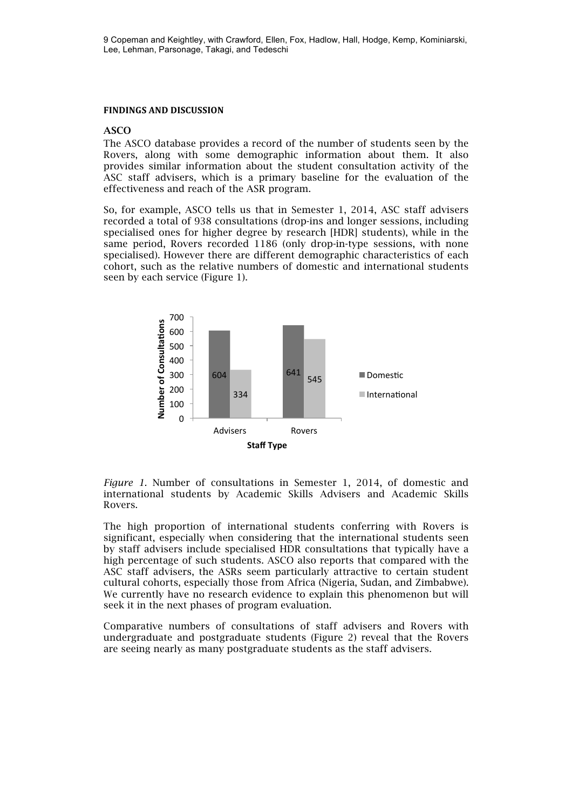9 Copeman and Keightley, with Crawford, Ellen, Fox, Hadlow, Hall, Hodge, Kemp, Kominiarski, Lee, Lehman, Parsonage, Takagi, and Tedeschi

#### **FINDINGS AND DISCUSSION**

#### ASCO

The ASCO database provides a record of the number of students seen by the Rovers, along with some demographic information about them. It also provides similar information about the student consultation activity of the ASC staff advisers, which is a primary baseline for the evaluation of the effectiveness and reach of the ASR program.

So, for example, ASCO tells us that in Semester 1, 2014, ASC staff advisers recorded a total of 938 consultations (drop-ins and longer sessions, including specialised ones for higher degree by research [HDR] students), while in the same period, Rovers recorded 1186 (only drop-in-type sessions, with none specialised). However there are different demographic characteristics of each cohort, such as the relative numbers of domestic and international students seen by each service (Figure 1).



*Figure 1.* Number of consultations in Semester 1, 2014, of domestic and international students by Academic Skills Advisers and Academic Skills Rovers.

The high proportion of international students conferring with Rovers is significant, especially when considering that the international students seen by staff advisers include specialised HDR consultations that typically have a high percentage of such students. ASCO also reports that compared with the ASC staff advisers, the ASRs seem particularly attractive to certain student cultural cohorts, especially those from Africa (Nigeria, Sudan, and Zimbabwe). We currently have no research evidence to explain this phenomenon but will seek it in the next phases of program evaluation.

Comparative numbers of consultations of staff advisers and Rovers with undergraduate and postgraduate students (Figure 2) reveal that the Rovers are seeing nearly as many postgraduate students as the staff advisers.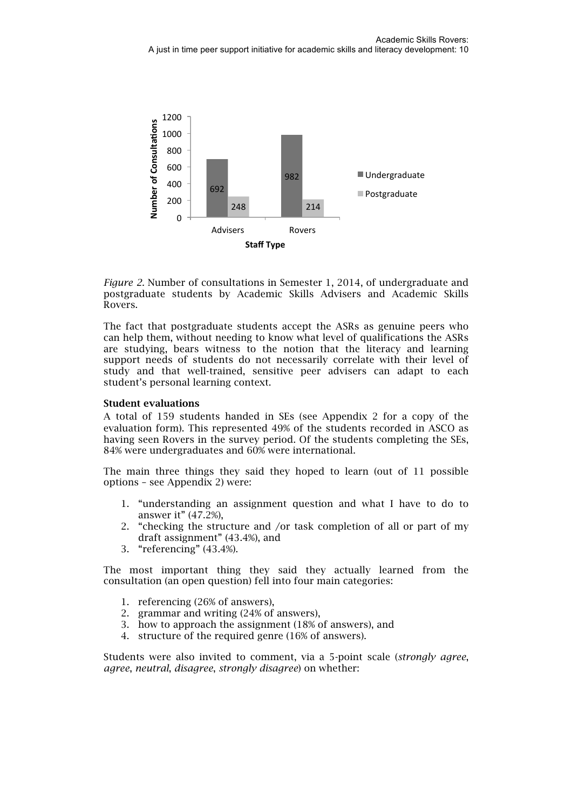

*Figure 2.* Number of consultations in Semester 1, 2014, of undergraduate and postgraduate students by Academic Skills Advisers and Academic Skills Rovers.

The fact that postgraduate students accept the ASRs as genuine peers who can help them, without needing to know what level of qualifications the ASRs are studying, bears witness to the notion that the literacy and learning support needs of students do not necessarily correlate with their level of study and that well-trained, sensitive peer advisers can adapt to each student's personal learning context.

#### Student evaluations

A total of 159 students handed in SEs (see Appendix 2 for a copy of the evaluation form). This represented 49% of the students recorded in ASCO as having seen Rovers in the survey period. Of the students completing the SEs, 84% were undergraduates and 60% were international.

The main three things they said they hoped to learn (out of 11 possible options – see Appendix 2) were:

- 1. "understanding an assignment question and what I have to do to answer it" (47.2%),
- 2. "checking the structure and /or task completion of all or part of my draft assignment" (43.4%), and
- 3. "referencing" (43.4%).

The most important thing they said they actually learned from the consultation (an open question) fell into four main categories:

- 1. referencing (26% of answers),
- 2. grammar and writing (24% of answers),
- 3. how to approach the assignment (18% of answers), and
- 4. structure of the required genre (16% of answers).

Students were also invited to comment, via a 5-point scale (*strongly agree*, *agree*, *neutral*, *disagree*, *strongly disagree*) on whether: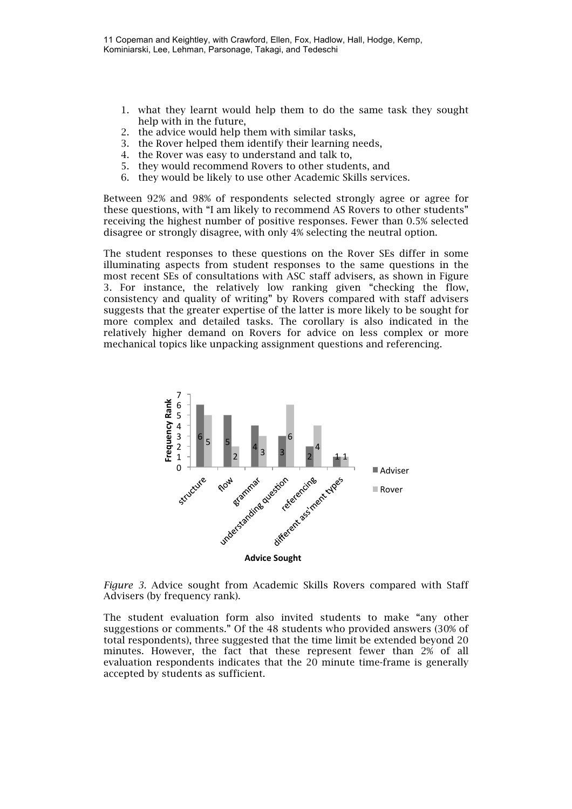- 1. what they learnt would help them to do the same task they sought help with in the future,
- 2. the advice would help them with similar tasks,
- 3. the Rover helped them identify their learning needs,
- 4. the Rover was easy to understand and talk to,
- 5. they would recommend Rovers to other students, and
- 6. they would be likely to use other Academic Skills services.

Between 92% and 98% of respondents selected strongly agree or agree for these questions, with "I am likely to recommend AS Rovers to other students" receiving the highest number of positive responses. Fewer than 0.5% selected disagree or strongly disagree, with only 4% selecting the neutral option.

The student responses to these questions on the Rover SEs differ in some illuminating aspects from student responses to the same questions in the most recent SEs of consultations with ASC staff advisers, as shown in Figure 3. For instance, the relatively low ranking given "checking the flow, consistency and quality of writing" by Rovers compared with staff advisers suggests that the greater expertise of the latter is more likely to be sought for more complex and detailed tasks. The corollary is also indicated in the relatively higher demand on Rovers for advice on less complex or more mechanical topics like unpacking assignment questions and referencing.



*Figure 3.* Advice sought from Academic Skills Rovers compared with Staff Advisers (by frequency rank).

The student evaluation form also invited students to make "any other suggestions or comments." Of the 48 students who provided answers (30% of total respondents), three suggested that the time limit be extended beyond 20 minutes. However, the fact that these represent fewer than 2% of all evaluation respondents indicates that the 20 minute time-frame is generally accepted by students as sufficient.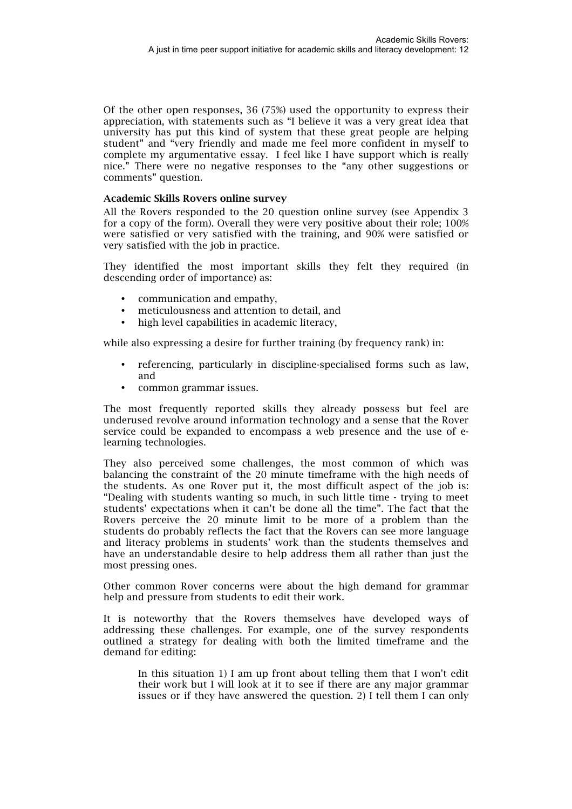Of the other open responses, 36 (75%) used the opportunity to express their appreciation, with statements such as "I believe it was a very great idea that university has put this kind of system that these great people are helping student" and "very friendly and made me feel more confident in myself to complete my argumentative essay. I feel like I have support which is really nice." There were no negative responses to the "any other suggestions or comments" question.

#### Academic Skills Rovers online survey

All the Rovers responded to the 20 question online survey (see Appendix 3 for a copy of the form). Overall they were very positive about their role; 100% were satisfied or very satisfied with the training, and 90% were satisfied or very satisfied with the job in practice.

They identified the most important skills they felt they required (in descending order of importance) as:

- communication and empathy,
- meticulousness and attention to detail, and
- high level capabilities in academic literacy.

while also expressing a desire for further training (by frequency rank) in:

- referencing, particularly in discipline-specialised forms such as law, and
- common grammar issues.

The most frequently reported skills they already possess but feel are underused revolve around information technology and a sense that the Rover service could be expanded to encompass a web presence and the use of elearning technologies.

They also perceived some challenges, the most common of which was balancing the constraint of the 20 minute timeframe with the high needs of the students. As one Rover put it, the most difficult aspect of the job is: "Dealing with students wanting so much, in such little time - trying to meet students' expectations when it can't be done all the time". The fact that the Rovers perceive the 20 minute limit to be more of a problem than the students do probably reflects the fact that the Rovers can see more language and literacy problems in students' work than the students themselves and have an understandable desire to help address them all rather than just the most pressing ones.

Other common Rover concerns were about the high demand for grammar help and pressure from students to edit their work.

It is noteworthy that the Rovers themselves have developed ways of addressing these challenges. For example, one of the survey respondents outlined a strategy for dealing with both the limited timeframe and the demand for editing:

In this situation 1) I am up front about telling them that I won't edit their work but I will look at it to see if there are any major grammar issues or if they have answered the question. 2) I tell them I can only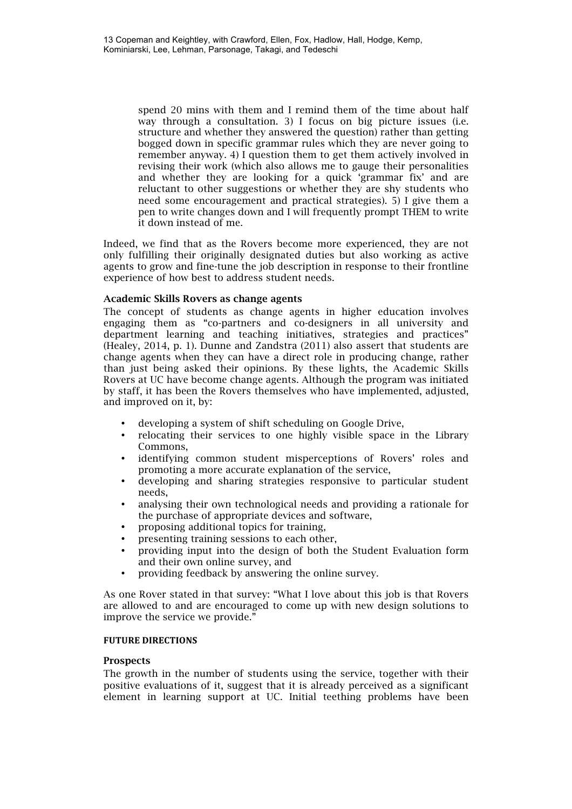spend 20 mins with them and I remind them of the time about half way through a consultation. 3) I focus on big picture issues (i.e. structure and whether they answered the question) rather than getting bogged down in specific grammar rules which they are never going to remember anyway. 4) I question them to get them actively involved in revising their work (which also allows me to gauge their personalities and whether they are looking for a quick 'grammar fix' and are reluctant to other suggestions or whether they are shy students who need some encouragement and practical strategies). 5) I give them a pen to write changes down and I will frequently prompt THEM to write it down instead of me.

Indeed, we find that as the Rovers become more experienced, they are not only fulfilling their originally designated duties but also working as active agents to grow and fine-tune the job description in response to their frontline experience of how best to address student needs.

#### Academic Skills Rovers as change agents

The concept of students as change agents in higher education involves engaging them as "co-partners and co-designers in all university and department learning and teaching initiatives, strategies and practices" (Healey, 2014, p. 1). Dunne and Zandstra (2011) also assert that students are change agents when they can have a direct role in producing change, rather than just being asked their opinions. By these lights, the Academic Skills Rovers at UC have become change agents. Although the program was initiated by staff, it has been the Rovers themselves who have implemented, adjusted, and improved on it, by:

- developing a system of shift scheduling on Google Drive,
- relocating their services to one highly visible space in the Library Commons,
- identifying common student misperceptions of Rovers' roles and promoting a more accurate explanation of the service,
- developing and sharing strategies responsive to particular student needs,
- analysing their own technological needs and providing a rationale for the purchase of appropriate devices and software,
- proposing additional topics for training,
- presenting training sessions to each other,
- providing input into the design of both the Student Evaluation form and their own online survey, and
- providing feedback by answering the online survey.

As one Rover stated in that survey: "What I love about this job is that Rovers are allowed to and are encouraged to come up with new design solutions to improve the service we provide."

#### **FUTURE DIRECTIONS**

#### **Prospects**

The growth in the number of students using the service, together with their positive evaluations of it, suggest that it is already perceived as a significant element in learning support at UC. Initial teething problems have been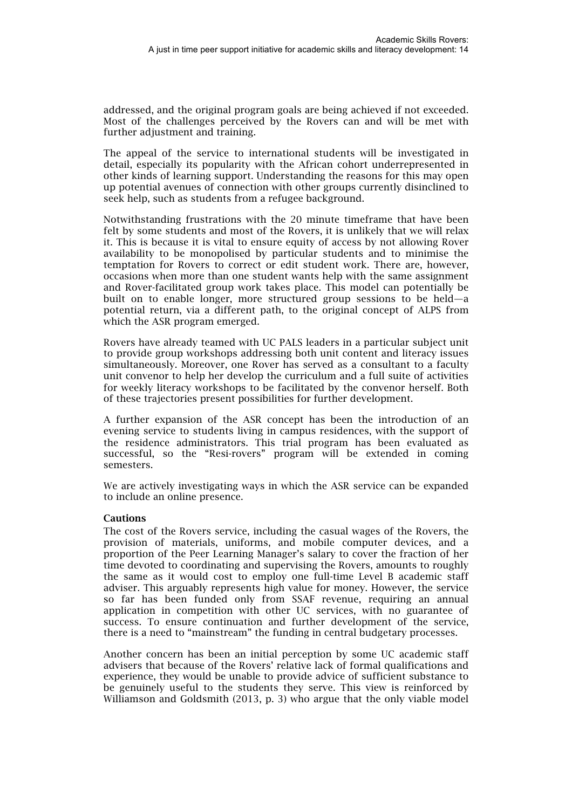addressed, and the original program goals are being achieved if not exceeded. Most of the challenges perceived by the Rovers can and will be met with further adjustment and training.

The appeal of the service to international students will be investigated in detail, especially its popularity with the African cohort underrepresented in other kinds of learning support. Understanding the reasons for this may open up potential avenues of connection with other groups currently disinclined to seek help, such as students from a refugee background.

Notwithstanding frustrations with the 20 minute timeframe that have been felt by some students and most of the Rovers, it is unlikely that we will relax it. This is because it is vital to ensure equity of access by not allowing Rover availability to be monopolised by particular students and to minimise the temptation for Rovers to correct or edit student work. There are, however, occasions when more than one student wants help with the same assignment and Rover-facilitated group work takes place. This model can potentially be built on to enable longer, more structured group sessions to be held—a potential return, via a different path, to the original concept of ALPS from which the ASR program emerged.

Rovers have already teamed with UC PALS leaders in a particular subject unit to provide group workshops addressing both unit content and literacy issues simultaneously. Moreover, one Rover has served as a consultant to a faculty unit convenor to help her develop the curriculum and a full suite of activities for weekly literacy workshops to be facilitated by the convenor herself. Both of these trajectories present possibilities for further development.

A further expansion of the ASR concept has been the introduction of an evening service to students living in campus residences, with the support of the residence administrators. This trial program has been evaluated as successful, so the "Resi-rovers" program will be extended in coming semesters.

We are actively investigating ways in which the ASR service can be expanded to include an online presence.

#### **Cautions**

The cost of the Rovers service, including the casual wages of the Rovers, the provision of materials, uniforms, and mobile computer devices, and a proportion of the Peer Learning Manager's salary to cover the fraction of her time devoted to coordinating and supervising the Rovers, amounts to roughly the same as it would cost to employ one full-time Level B academic staff adviser. This arguably represents high value for money. However, the service so far has been funded only from SSAF revenue, requiring an annual application in competition with other UC services, with no guarantee of success. To ensure continuation and further development of the service, there is a need to "mainstream" the funding in central budgetary processes.

Another concern has been an initial perception by some UC academic staff advisers that because of the Rovers' relative lack of formal qualifications and experience, they would be unable to provide advice of sufficient substance to be genuinely useful to the students they serve. This view is reinforced by Williamson and Goldsmith (2013, p. 3) who argue that the only viable model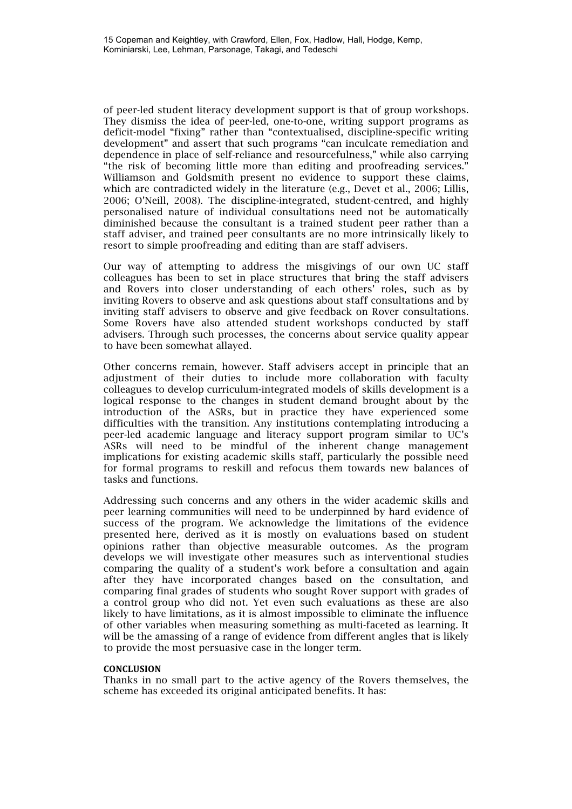of peer-led student literacy development support is that of group workshops. They dismiss the idea of peer-led, one-to-one, writing support programs as deficit-model "fixing" rather than "contextualised, discipline-specific writing development" and assert that such programs "can inculcate remediation and dependence in place of self-reliance and resourcefulness," while also carrying "the risk of becoming little more than editing and proofreading services." Williamson and Goldsmith present no evidence to support these claims, which are contradicted widely in the literature (e.g., Devet et al., 2006; Lillis, 2006; O'Neill, 2008). The discipline-integrated, student-centred, and highly personalised nature of individual consultations need not be automatically diminished because the consultant is a trained student peer rather than a staff adviser, and trained peer consultants are no more intrinsically likely to resort to simple proofreading and editing than are staff advisers.

Our way of attempting to address the misgivings of our own UC staff colleagues has been to set in place structures that bring the staff advisers and Rovers into closer understanding of each others' roles, such as by inviting Rovers to observe and ask questions about staff consultations and by inviting staff advisers to observe and give feedback on Rover consultations. Some Rovers have also attended student workshops conducted by staff advisers. Through such processes, the concerns about service quality appear to have been somewhat allayed.

Other concerns remain, however. Staff advisers accept in principle that an adjustment of their duties to include more collaboration with faculty colleagues to develop curriculum-integrated models of skills development is a logical response to the changes in student demand brought about by the introduction of the ASRs, but in practice they have experienced some difficulties with the transition. Any institutions contemplating introducing a peer-led academic language and literacy support program similar to UC's ASRs will need to be mindful of the inherent change management implications for existing academic skills staff, particularly the possible need for formal programs to reskill and refocus them towards new balances of tasks and functions.

Addressing such concerns and any others in the wider academic skills and peer learning communities will need to be underpinned by hard evidence of success of the program. We acknowledge the limitations of the evidence presented here, derived as it is mostly on evaluations based on student opinions rather than objective measurable outcomes. As the program develops we will investigate other measures such as interventional studies comparing the quality of a student's work before a consultation and again after they have incorporated changes based on the consultation, and comparing final grades of students who sought Rover support with grades of a control group who did not. Yet even such evaluations as these are also likely to have limitations, as it is almost impossible to eliminate the influence of other variables when measuring something as multi-faceted as learning. It will be the amassing of a range of evidence from different angles that is likely to provide the most persuasive case in the longer term.

#### **CONCLUSION**

Thanks in no small part to the active agency of the Rovers themselves, the scheme has exceeded its original anticipated benefits. It has: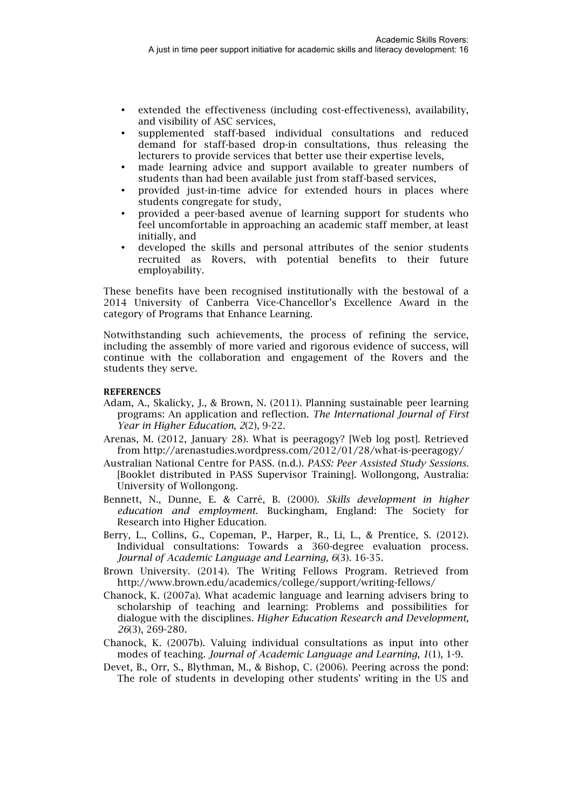- extended the effectiveness (including cost-effectiveness), availability, and visibility of ASC services,
- supplemented staff-based individual consultations and reduced demand for staff-based drop-in consultations, thus releasing the lecturers to provide services that better use their expertise levels,
- made learning advice and support available to greater numbers of students than had been available just from staff-based services,
- provided just-in-time advice for extended hours in places where students congregate for study,
- provided a peer-based avenue of learning support for students who feel uncomfortable in approaching an academic staff member, at least initially, and
- developed the skills and personal attributes of the senior students recruited as Rovers, with potential benefits to their future employability.

These benefits have been recognised institutionally with the bestowal of a 2014 University of Canberra Vice-Chancellor's Excellence Award in the category of Programs that Enhance Learning.

Notwithstanding such achievements, the process of refining the service, including the assembly of more varied and rigorous evidence of success, will continue with the collaboration and engagement of the Rovers and the students they serve.

#### **REFERENCES**

- Adam, A., Skalicky, J., & Brown, N. (2011). Planning sustainable peer learning programs: An application and reflection. *The International Journal of First Year in Higher Education*, *2*(2), 9-22.
- Arenas, M. (2012, January 28). What is peeragogy? [Web log post]. Retrieved from http://arenastudies.wordpress.com/2012/01/28/what-is-peeragogy/
- Australian National Centre for PASS. (n.d.). *PASS: Peer Assisted Study Sessions.*  [Booklet distributed in PASS Supervisor Training]. Wollongong, Australia: University of Wollongong.
- Bennett, N., Dunne, E. & Carré, B. (2000). *Skills development in higher education and employment.* Buckingham, England: The Society for Research into Higher Education.
- Berry, L., Collins, G., Copeman, P., Harper, R., Li, L., & Prentice, S. (2012). Individual consultations: Towards a 360-degree evaluation process. *Journal of Academic Language and Learning, 6*(3). 16-35.
- Brown University. (2014). The Writing Fellows Program*.* Retrieved from http://www.brown.edu/academics/college/support/writing-fellows/
- Chanock, K. (2007a). What academic language and learning advisers bring to scholarship of teaching and learning: Problems and possibilities for dialogue with the disciplines. *Higher Education Research and Development, 26*(3), 269-280.
- Chanock, K. (2007b). Valuing individual consultations as input into other modes of teaching. *Journal of Academic Language and Learning, 1*(1), 1-9.
- Devet, B., Orr, S., Blythman, M., & Bishop, C. (2006). Peering across the pond: The role of students in developing other students' writing in the US and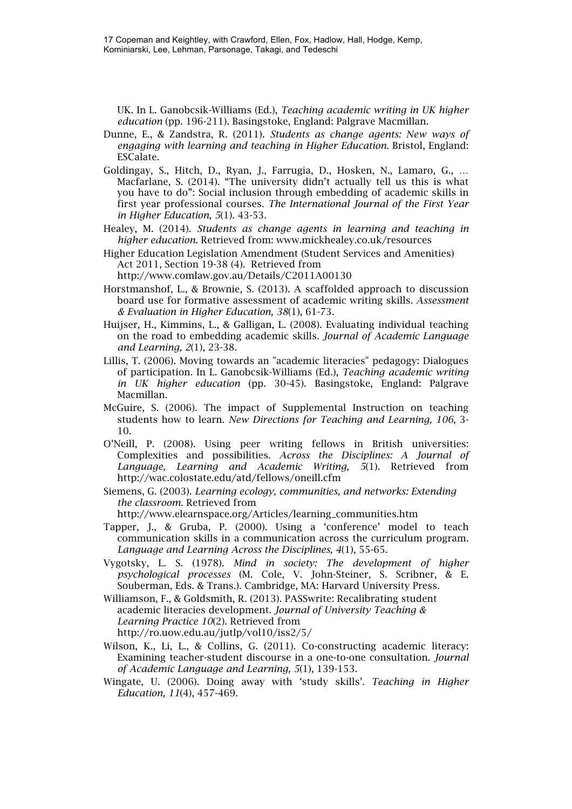17 Copeman and Keightley, with Crawford, Ellen, Fox, Hadlow, Hall, Hodge, Kemp, Kominiarski, Lee, Lehman, Parsonage, Takagi, and Tedeschi

UK. In L. Ganobcsik-Williams (Ed.), *Teaching academic writing in UK higher education* (pp. 196-211). Basingstoke, England: Palgrave Macmillan.

- Dunne, E., & Zandstra, R. (2011). *Students as change agents: New ways of engaging with learning and teaching in Higher Education.* Bristol, England: ESCalate.
- Goldingay, S., Hitch, D., Ryan, J., Farrugia, D., Hosken, N., Lamaro, G., … Macfarlane, S. (2014). "The university didn't actually tell us this is what you have to do": Social inclusion through embedding of academic skills in first year professional courses. *The International Journal of the First Year in Higher Education*, *5*(1). 43-53.
- Healey, M. (2014). *Students as change agents in learning and teaching in higher education.* Retrieved from: www.mickhealey.co.uk/resources
- Higher Education Legislation Amendment (Student Services and Amenities) Act 2011, Section 19-38 (4). Retrieved from http://www.comlaw.gov.au/Details/C2011A00130
- Horstmanshof, L., & Brownie, S. (2013). A scaffolded approach to discussion board use for formative assessment of academic writing skills. *Assessment & Evaluation in Higher Education, 38*(1), 61-73.
- Huijser, H., Kimmins, L., & Galligan, L. (2008). Evaluating individual teaching on the road to embedding academic skills. *Journal of Academic Language and Learning, 2*(1), 23-38.
- Lillis, T. (2006). Moving towards an "academic literacies" pedagogy: Dialogues of participation. In L. Ganobcsik-Williams (Ed.), *Teaching academic writing in UK higher education* (pp. 30-45). Basingstoke, England: Palgrave Macmillan.
- McGuire, S. (2006). The impact of Supplemental Instruction on teaching students how to learn. *New Directions for Teaching and Learning, 106*, 3- 10.
- O'Neill, P. (2008). Using peer writing fellows in British universities: Complexities and possibilities. *Across the Disciplines: A Journal of Language, Learning and Academic Writing, 5*(1). Retrieved from http://wac.colostate.edu/atd/fellows/oneill.cfm
- Siemens, G. (2003). *Learning ecology, communities, and networks: Extending the classroom.* Retrieved from

http://www.elearnspace.org/Articles/learning\_communities.htm

- Tapper, J., & Gruba, P. (2000). Using a 'conference' model to teach communication skills in a communication across the curriculum program. *Language and Learning Across the Disciplines, 4*(1), 55-65.
- Vygotsky, L. S. (1978). *Mind in society: The development of higher psychological processes* (M. Cole, V. John-Steiner, S. Scribner, & E. Souberman, Eds. & Trans.). Cambridge, MA: Harvard University Press.
- Williamson, F., & Goldsmith, R. (2013). PASSwrite: Recalibrating student academic literacies development. *Journal of University Teaching & Learning Practice 10*(2). Retrieved from http://ro.uow.edu.au/jutlp/vol10/iss2/5/
- Wilson, K., Li, L., & Collins, G. (2011). Co-constructing academic literacy: Examining teacher-student discourse in a one-to-one consultation. *Journal of Academic Language and Learning, 5*(1), 139-153.
- Wingate, U. (2006). Doing away with 'study skills'. *Teaching in Higher Education, 11*(4), 457-469.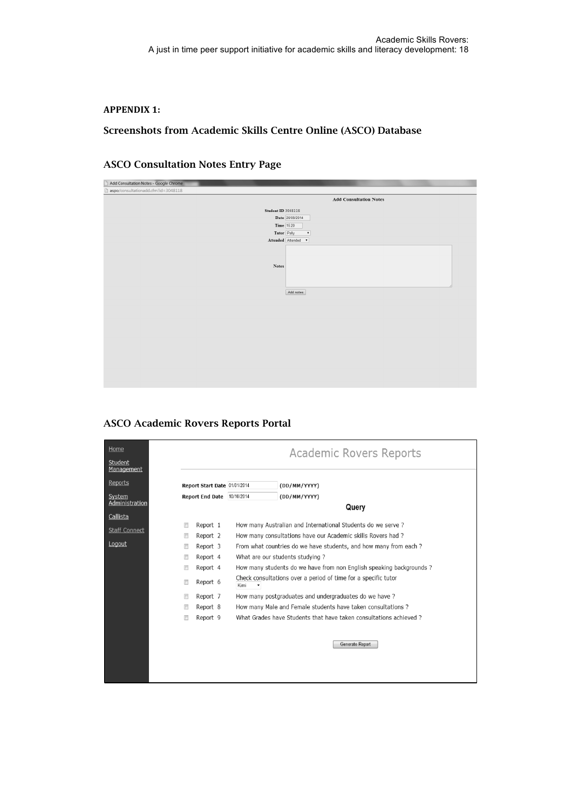#### **APPENDIX 1:**

#### Screenshots from Academic Skills Centre Online (ASCO) Database

### ASCO Consultation Notes Entry Page

| Add Consultation Notes - Google Chrome |                               |
|----------------------------------------|-------------------------------|
| aspo/consultationadd.cfm?id=3048118    |                               |
|                                        | <b>Add Consultation Notes</b> |
|                                        |                               |
| <b>Student ID 3048118</b>              |                               |
|                                        | Date 20/08/2014               |
|                                        | <b>Time</b> 15:20             |
|                                        | Tutor Polly<br>$\mathbf{v}$   |
|                                        | Attended Attended v           |
|                                        |                               |
|                                        |                               |
| $\mathbf{Notes}$                       |                               |
|                                        |                               |
|                                        |                               |
|                                        |                               |
|                                        | Add notes                     |
|                                        |                               |
|                                        |                               |
|                                        |                               |
|                                        |                               |
|                                        |                               |
|                                        |                               |
|                                        |                               |
|                                        |                               |
|                                        |                               |
|                                        |                               |
|                                        |                               |
|                                        |                               |
|                                        |                               |

ASCO Academic Rovers Reports Portal

| Home<br>Student      | Academic Rovers Reports      |                                                                        |  |
|----------------------|------------------------------|------------------------------------------------------------------------|--|
| Management           |                              |                                                                        |  |
| Reports              | Report Start Date 01/01/2014 | (DD/MM/YYYY)                                                           |  |
| System               | Report End Date 10/10/2014   | (DD/MM/YYYY)                                                           |  |
| Administration       | Query                        |                                                                        |  |
| Callista             |                              |                                                                        |  |
| <b>Staff Connect</b> | Report 1<br>$\Box$           | How many Australian and International Students do we serve?            |  |
| Logout               | Report 2                     | How many consultations have our Academic skills Rovers had?            |  |
|                      | Report 3<br>$\Box$           | From what countries do we have students, and how many from each?       |  |
|                      | Report 4<br>F                | What are our students studying?                                        |  |
|                      | Report 4<br>$\Box$           | How many students do we have from non English speaking backgrounds?    |  |
|                      | Report 6<br>F                | Check consultations over a period of time for a specific tutor<br>Kimi |  |
|                      | Report 7<br>$\Box$           | How many postgraduates and undergraduates do we have?                  |  |
|                      | Report 8<br>m                | How many Male and Female students have taken consultations?            |  |
|                      | Report 9<br>$\Box$           | What Grades have Students that have taken consultations achieved ?     |  |
|                      |                              |                                                                        |  |
|                      |                              | Generate Report                                                        |  |
|                      |                              |                                                                        |  |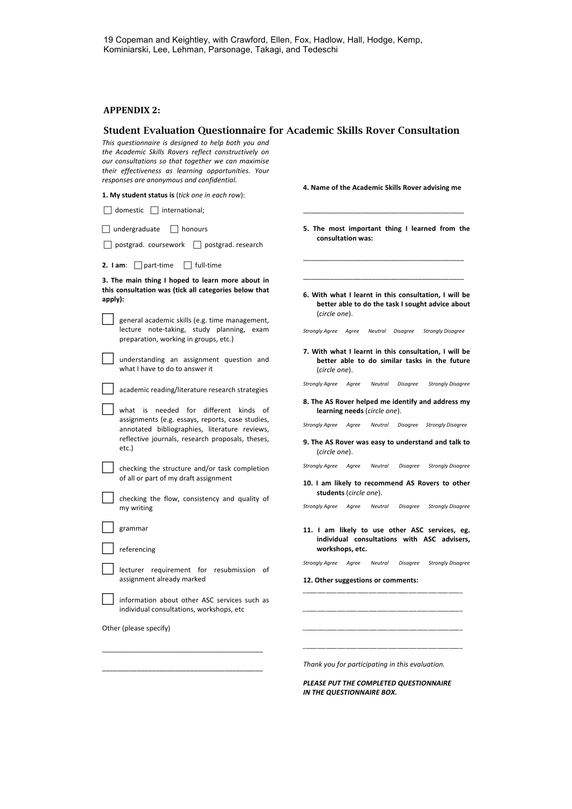#### **APPENDIX 2:**

#### Student Evaluation Questionnaire for Academic Skills Rover Consultation

This questionnaire is designed to help both you and the Academic Skills Rovers reflect constructively on our consultations so that together we can maximise *their effectiveness as learning opportunities. Your responses are anonymous and confidential.*

**1.** My student status is (*tick one in each row*):

\_\_\_\_\_\_\_\_\_\_\_\_\_\_\_\_\_\_\_\_\_\_\_\_\_\_\_\_\_\_\_\_\_\_\_\_\_\_\_\_\_\_

| $domestic$   international;                                                                                                                                            |                                                                                                                            |  |
|------------------------------------------------------------------------------------------------------------------------------------------------------------------------|----------------------------------------------------------------------------------------------------------------------------|--|
| undergraduate<br>$\vert$   honours<br>postgrad. coursework     postgrad. research                                                                                      | 5. The most important thing I learned from the<br>consultation was:                                                        |  |
| 2. I am: $\Box$ part-time<br>$\Box$ full-time                                                                                                                          |                                                                                                                            |  |
| 3. The main thing I hoped to learn more about in<br>this consultation was (tick all categories below that<br>apply):<br>general academic skills (e.g. time management, | 6. With what I learnt in this consultation, I will be<br>better able to do the task I sought advice about<br>(circle one). |  |
| lecture note-taking, study planning, exam<br>preparation, working in groups, etc.)                                                                                     | Strongly Agree Agree<br>Neutral Disagree<br><b>Strongly Disagree</b>                                                       |  |
| understanding an assignment question and<br>what I have to do to answer it                                                                                             | 7. With what I learnt in this consultation, I will be<br>better able to do similar tasks in the future<br>(circle one).    |  |
| academic reading/literature research strategies                                                                                                                        | <b>Strongly Agree</b><br>Agree<br>Neutral<br><b>Disagree</b><br><b>Strongly Disagree</b>                                   |  |
| what is needed for different kinds of                                                                                                                                  | 8. The AS Rover helped me identify and address my<br>learning needs (circle one).                                          |  |
| assignments (e.g. essays, reports, case studies,<br>annotated bibliographies, literature reviews,                                                                      | Neutral Disagree Strongly Disagree<br>Strongly Agree Agree                                                                 |  |
| reflective journals, research proposals, theses,<br>etc.)                                                                                                              | 9. The AS Rover was easy to understand and talk to<br>(circle one).                                                        |  |
| checking the structure and/or task completion<br>of all or part of my draft assignment                                                                                 | Strongly Agree Agree<br>Neutral<br><b>Disagree</b><br><b>Strongly Disagree</b>                                             |  |
|                                                                                                                                                                        | 10. I am likely to recommend AS Rovers to other<br>students (circle one).                                                  |  |
| checking the flow, consistency and quality of<br>my writing                                                                                                            | Strongly Agree Agree<br><b>Strongly Disagree</b><br>Neutral<br><b>Disagree</b>                                             |  |
| grammar                                                                                                                                                                | 11. I am likely to use other ASC services, eg.                                                                             |  |
| referencing                                                                                                                                                            | individual consultations with ASC advisers,<br>workshops, etc.                                                             |  |
| lecturer requirement for resubmission of                                                                                                                               | <b>Strongly Disagree</b><br>Strongly Agree Agree<br>Neutral<br><b>Disagree</b>                                             |  |
| assignment already marked                                                                                                                                              | 12. Other suggestions or comments:                                                                                         |  |
| information about other ASC services such as<br>individual consultations, workshops, etc                                                                               |                                                                                                                            |  |
| Other (please specify)                                                                                                                                                 |                                                                                                                            |  |
|                                                                                                                                                                        |                                                                                                                            |  |
|                                                                                                                                                                        |                                                                                                                            |  |

*Thank you for participating in this evaluation.*

**4. Name of the Academic Skills Rover advising me** 

**PLEASE PUT THE COMPLETED QUESTIONNAIRE** *IN THE QUESTIONNAIRE BOX.*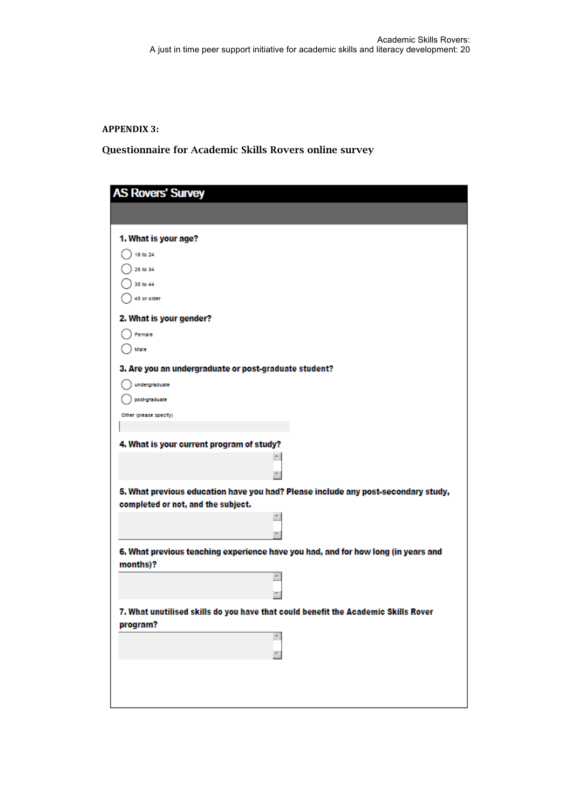**APPENDIX 3:**

Questionnaire for Academic Skills Rovers online survey

| <b>AS Rovers' Survey</b>                                                                      |
|-----------------------------------------------------------------------------------------------|
|                                                                                               |
|                                                                                               |
| 1. What is your age?                                                                          |
| 18 to 24                                                                                      |
| 25 to 34                                                                                      |
| 35 to 44                                                                                      |
| 45 or older                                                                                   |
| 2. What is your gender?                                                                       |
| Female                                                                                        |
| Male                                                                                          |
| 3. Are you an undergraduate or post-graduate student?                                         |
| undergraduate                                                                                 |
| post graduate                                                                                 |
| Other (please specify)                                                                        |
|                                                                                               |
| 4. What is your current program of study?                                                     |
|                                                                                               |
|                                                                                               |
| 5. What previous education have you had? Please include any post-secondary study,             |
| completed or not, and the subject.                                                            |
| ٠                                                                                             |
|                                                                                               |
| 6. What previous teaching experience have you had, and for how long (in years and<br>months)? |
|                                                                                               |
|                                                                                               |
| 7. What unutilised skills do vou have that could benefit the Academic Skills Rover            |
| program?                                                                                      |
|                                                                                               |
|                                                                                               |
|                                                                                               |
|                                                                                               |
|                                                                                               |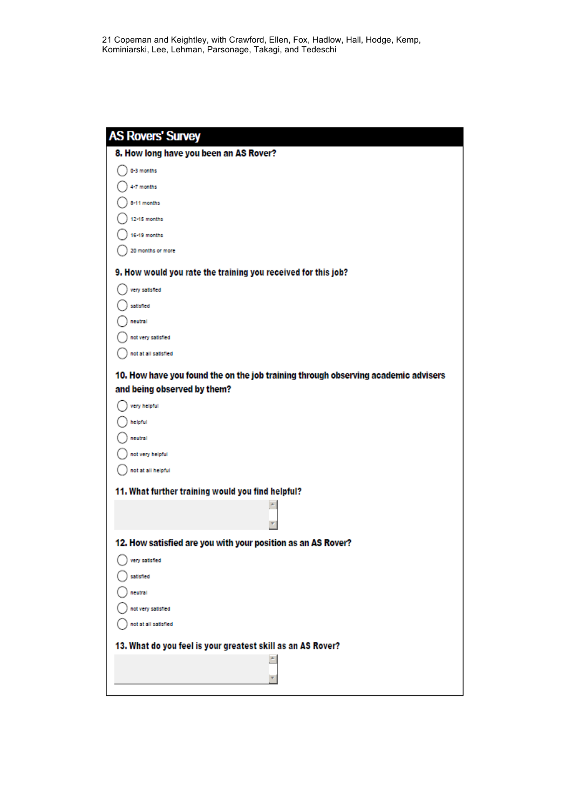| <b>AS Rovers' Survey</b>                                                           |
|------------------------------------------------------------------------------------|
| 8. How long have you been an AS Rover?                                             |
| 0-3 months                                                                         |
| 4-7 months                                                                         |
| 8-11 months                                                                        |
| 12-15 months                                                                       |
| 16-19 months                                                                       |
| 20 months or more                                                                  |
| 9. How would you rate the training you received for this job?                      |
| very satisfied                                                                     |
| satisfied                                                                          |
| neutral                                                                            |
| not very satisfied                                                                 |
| not at all satisfied                                                               |
| 10. How have you found the on the job training through observing academic advisers |
| and being observed by them?                                                        |
| very helpful                                                                       |
| helpful                                                                            |
| neutral                                                                            |
| not very helpful                                                                   |
| not at all helpful                                                                 |
| 11. What further training would you find helpful?                                  |
| A                                                                                  |
|                                                                                    |
| 12. How satisfied are you with your position as an AS Rover?                       |
| very satisfied                                                                     |
| satisfied                                                                          |
| neutral                                                                            |
| not very satisfied                                                                 |
| not at all satisfied                                                               |
| 13. What do you feel is your greatest skill as an AS Rover?                        |
| $\triangleq$                                                                       |
|                                                                                    |